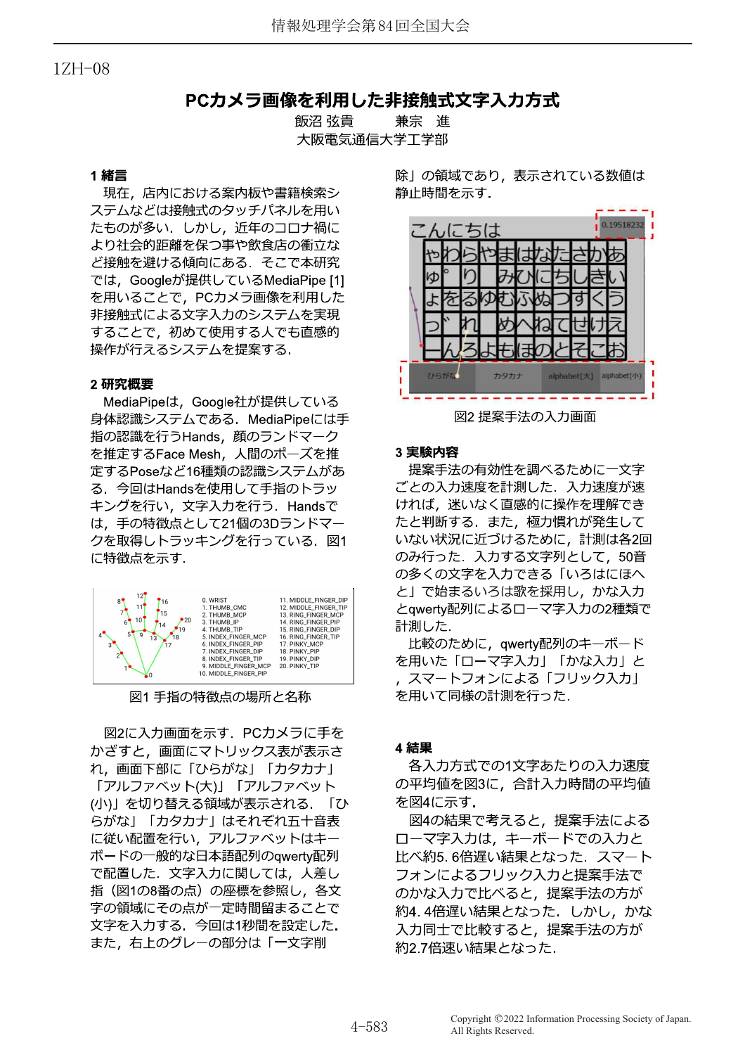## $1ZH - 08$

# PCカメラ画像を利用した非接触式文字入力方式

飯沼 弦貴 兼宗 進 大阪電気通信大学工学部

## 1 緒言

現在、店内における案内板や書籍検索シ ステムなどは接触式のタッチパネルを用い たものが多い、しかし、近年のコロナ禍に より社会的距離を保つ事や飲食店の衝立な ど接触を避ける傾向にある. そこで本研究 では、Googleが提供しているMediaPipe [1] を用いることで、PCカメラ画像を利用した 非接触式による文字入力のシステムを実現 することで、初めて使用する人でも直感的 操作が行えるシステムを提案する.

## 2研究概要

MediaPipeは、Google社が提供している 身体認識システムである. MediaPipeには手 指の認識を行うHands,顔のランドマーク を推定するFace Mesh, 人間のポーズを推 定するPoseなど16種類の認識システムがあ る. 今回はHandsを使用して手指のトラッ キングを行い、文字入力を行う. Handsで は、手の特徴点として21個の3Dランドマー クを取得しトラッキングを行っている. 図1 に特徴点を示す.



図1手指の特徴点の場所と名称

図2に入力画面を示す. PCカメラに手を かざすと、画面にマトリックス表が表示さ れ、画面下部に「ひらがな」「カタカナ」 「アルファベット(大)」「アルファベット (小)」を切り替える領域が表示される. 「ひ らがな」「カタカナ」はそれぞれ五十音表 に従い配置を行い、アルファベットはキー ボードの一般的な日本語配列のqwerty配列 で配置した. 文字入力に関しては、人差し 指 (図1の8番の点) の座標を参照し、各文 字の領域にその点が一定時間留まることで 文字を入力する. 今回は1秒間を設定した. また、右上のグレーの部分は「一文字削

除」の領域であり、表示されている数値は 静止時間を示す.



図2提案手法の入力画面

#### 3 実験内容

提案手法の有効性を調べるために一文字 ごとの入力速度を計測した. 入力速度が速 ければ、迷いなく直感的に操作を理解でき たと判断する. また、極力慣れが発生して いない状況に近づけるために、計測は各2回 のみ行った. 入力する文字列として、50音 の多くの文字を入力できる「いろはにほへ と」で始まるいろは歌を採用し、かな入力 とqwerty配列によるローマ字入力の2種類で 計測した.

比較のために, qwerty配列のキーボード を用いた「ローマ字入力」「かな入力」と , スマートフォンによる「フリック入力」 を用いて同様の計測を行った.

#### 4 結果

各入力方式での1文字あたりの入力速度 の平均値を図3に、合計入力時間の平均値 を図4に示す.

図4の結果で考えると、提案手法による ローマ字入力は、キーボードでの入力と 比べ約5.6倍遅い結果となった. スマート フォンによるフリック入力と提案手法で のかな入力で比べると、提案手法の方が 約4.4倍遅い結果となった. しかし、かな 入力同士で比較すると、提案手法の方が 約2.7倍速い結果となった.